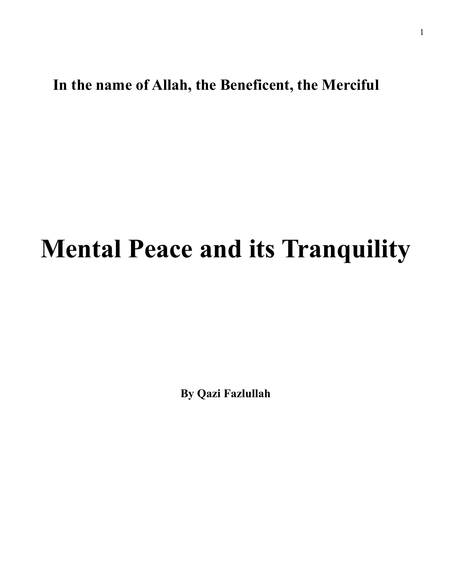## **In the name of Allah, the Beneficent, the Merciful**

## **Mental Peace and its Tranquility**

**By Qazi Fazlullah**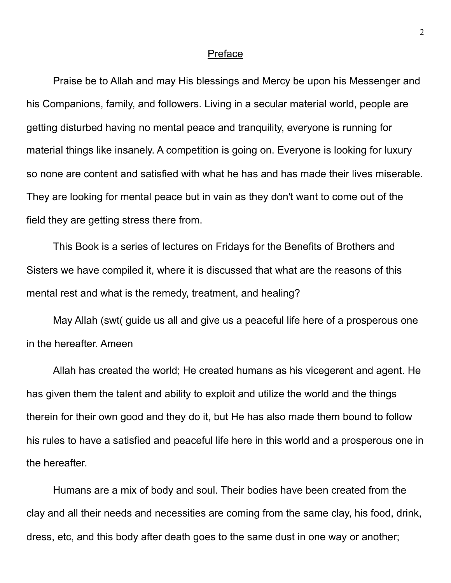## **Preface**

 Praise be to Allah and may His blessings and Mercy be upon his Messenger and his Companions, family, and followers. Living in a secular material world, people are getting disturbed having no mental peace and tranquility, everyone is running for material things like insanely. A competition is going on. Everyone is looking for luxury so none are content and satisfied with what he has and has made their lives miserable. They are looking for mental peace but in vain as they don't want to come out of the field they are getting stress there from.

 This Book is a series of lectures on Fridays for the Benefits of Brothers and Sisters we have compiled it, where it is discussed that what are the reasons of this mental rest and what is the remedy, treatment, and healing?

 May Allah (swt( guide us all and give us a peaceful life here of a prosperous one in the hereafter. Ameen

 Allah has created the world; He created humans as his vicegerent and agent. He has given them the talent and ability to exploit and utilize the world and the things therein for their own good and they do it, but He has also made them bound to follow his rules to have a satisfied and peaceful life here in this world and a prosperous one in the hereafter.

 Humans are a mix of body and soul. Their bodies have been created from the clay and all their needs and necessities are coming from the same clay, his food, drink, dress, etc, and this body after death goes to the same dust in one way or another;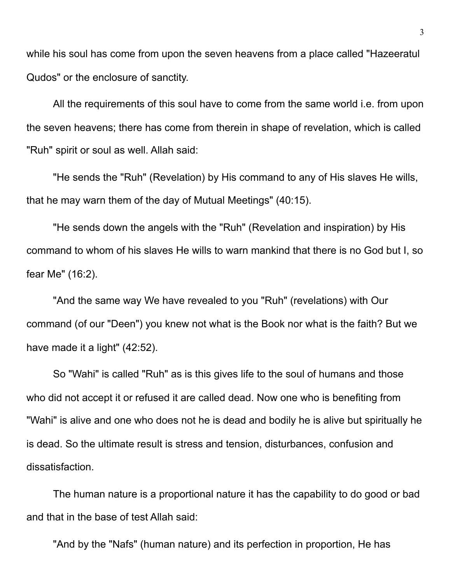while his soul has come from upon the seven heavens from a place called "Hazeeratul Qudos" or the enclosure of sanctity.

 All the requirements of this soul have to come from the same world i.e. from upon the seven heavens; there has come from therein in shape of revelation, which is called "Ruh" spirit or soul as well. Allah said:

"He sends the "Ruh" (Revelation) by His command to any of His slaves He wills, that he may warn them of the day of Mutual Meetings" (40:15).

"He sends down the angels with the "Ruh" (Revelation and inspiration) by His command to whom of his slaves He wills to warn mankind that there is no God but I, so fear Me" (16:2).

"And the same way We have revealed to you "Ruh" (revelations) with Our command (of our "Deen") you knew not what is the Book nor what is the faith? But we have made it a light" (42:52).

 So "Wahi" is called "Ruh" as is this gives life to the soul of humans and those who did not accept it or refused it are called dead. Now one who is benefiting from "Wahi" is alive and one who does not he is dead and bodily he is alive but spiritually he is dead. So the ultimate result is stress and tension, disturbances, confusion and dissatisfaction.

The human nature is a proportional nature it has the capability to do good or bad and that in the base of test Allah said:

"And by the "Nafs" (human nature) and its perfection in proportion, He has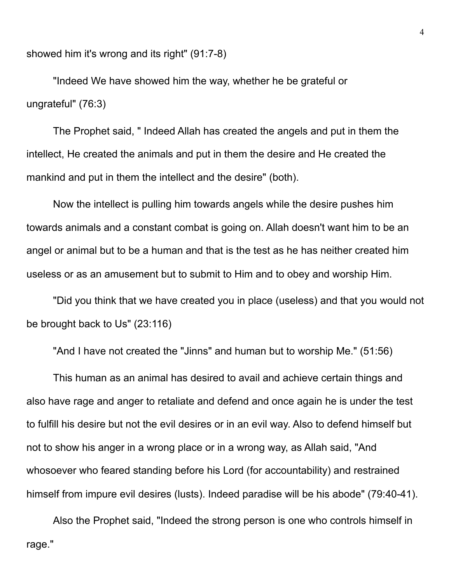showed him it's wrong and its right" (91:7-8)

"Indeed We have showed him the way, whether he be grateful or ungrateful" (76:3)

The Prophet said, " Indeed Allah has created the angels and put in them the intellect, He created the animals and put in them the desire and He created the mankind and put in them the intellect and the desire" (both).

Now the intellect is pulling him towards angels while the desire pushes him towards animals and a constant combat is going on. Allah doesn't want him to be an angel or animal but to be a human and that is the test as he has neither created him useless or as an amusement but to submit to Him and to obey and worship Him.

"Did you think that we have created you in place (useless) and that you would not be brought back to Us" (23:116)

"And I have not created the "Jinns" and human but to worship Me." (51:56)

 This human as an animal has desired to avail and achieve certain things and also have rage and anger to retaliate and defend and once again he is under the test to fulfill his desire but not the evil desires or in an evil way. Also to defend himself but not to show his anger in a wrong place or in a wrong way, as Allah said, "And whosoever who feared standing before his Lord (for accountability) and restrained himself from impure evil desires (lusts). Indeed paradise will be his abode" (79:40-41).

Also the Prophet said, "Indeed the strong person is one who controls himself in rage."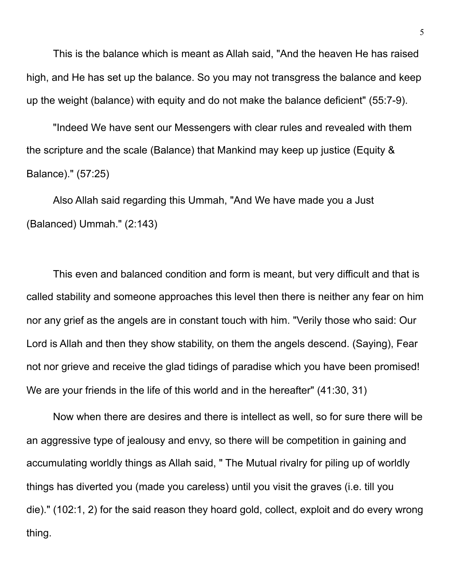This is the balance which is meant as Allah said, "And the heaven He has raised high, and He has set up the balance. So you may not transgress the balance and keep up the weight (balance) with equity and do not make the balance deficient" (55:7-9).

"Indeed We have sent our Messengers with clear rules and revealed with them the scripture and the scale (Balance) that Mankind may keep up justice (Equity & Balance)." (57:25)

Also Allah said regarding this Ummah, "And We have made you a Just (Balanced) Ummah." (2:143)

This even and balanced condition and form is meant, but very difficult and that is called stability and someone approaches this level then there is neither any fear on him nor any grief as the angels are in constant touch with him. "Verily those who said: Our Lord is Allah and then they show stability, on them the angels descend. (Saying), Fear not nor grieve and receive the glad tidings of paradise which you have been promised! We are your friends in the life of this world and in the hereafter" (41:30, 31)

Now when there are desires and there is intellect as well, so for sure there will be an aggressive type of jealousy and envy, so there will be competition in gaining and accumulating worldly things as Allah said, " The Mutual rivalry for piling up of worldly things has diverted you (made you careless) until you visit the graves (i.e. till you die)." (102:1, 2) for the said reason they hoard gold, collect, exploit and do every wrong thing.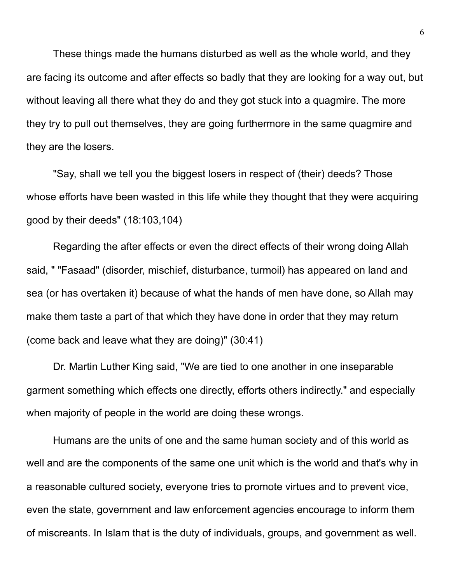These things made the humans disturbed as well as the whole world, and they are facing its outcome and after effects so badly that they are looking for a way out, but without leaving all there what they do and they got stuck into a quagmire. The more they try to pull out themselves, they are going furthermore in the same quagmire and they are the losers.

"Say, shall we tell you the biggest losers in respect of (their) deeds? Those whose efforts have been wasted in this life while they thought that they were acquiring good by their deeds" (18:103,104)

Regarding the after effects or even the direct effects of their wrong doing Allah said, " "Fasaad" (disorder, mischief, disturbance, turmoil) has appeared on land and sea (or has overtaken it) because of what the hands of men have done, so Allah may make them taste a part of that which they have done in order that they may return (come back and leave what they are doing)" (30:41)

 Dr. Martin Luther King said, "We are tied to one another in one inseparable garment something which effects one directly, efforts others indirectly." and especially when majority of people in the world are doing these wrongs.

 Humans are the units of one and the same human society and of this world as well and are the components of the same one unit which is the world and that's why in a reasonable cultured society, everyone tries to promote virtues and to prevent vice, even the state, government and law enforcement agencies encourage to inform them of miscreants. In Islam that is the duty of individuals, groups, and government as well.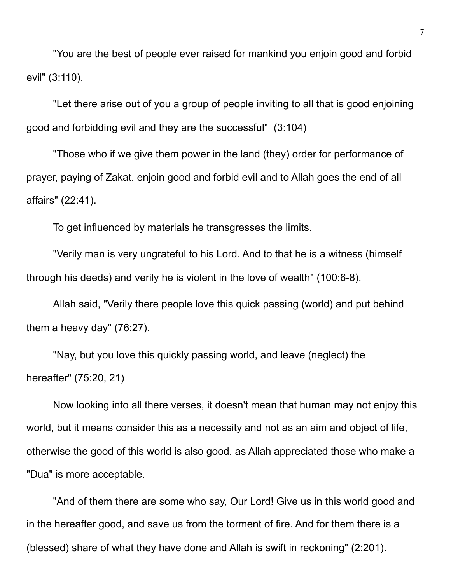"You are the best of people ever raised for mankind you enjoin good and forbid evil" (3:110).

"Let there arise out of you a group of people inviting to all that is good enjoining good and forbidding evil and they are the successful" (3:104)

"Those who if we give them power in the land (they) order for performance of prayer, paying of Zakat, enjoin good and forbid evil and to Allah goes the end of all affairs" (22:41).

To get influenced by materials he transgresses the limits.

"Verily man is very ungrateful to his Lord. And to that he is a witness (himself through his deeds) and verily he is violent in the love of wealth" (100:6-8).

Allah said, "Verily there people love this quick passing (world) and put behind them a heavy day" (76:27).

"Nay, but you love this quickly passing world, and leave (neglect) the hereafter" (75:20, 21)

Now looking into all there verses, it doesn't mean that human may not enjoy this world, but it means consider this as a necessity and not as an aim and object of life, otherwise the good of this world is also good, as Allah appreciated those who make a "Dua" is more acceptable.

"And of them there are some who say, Our Lord! Give us in this world good and in the hereafter good, and save us from the torment of fire. And for them there is a (blessed) share of what they have done and Allah is swift in reckoning" (2:201).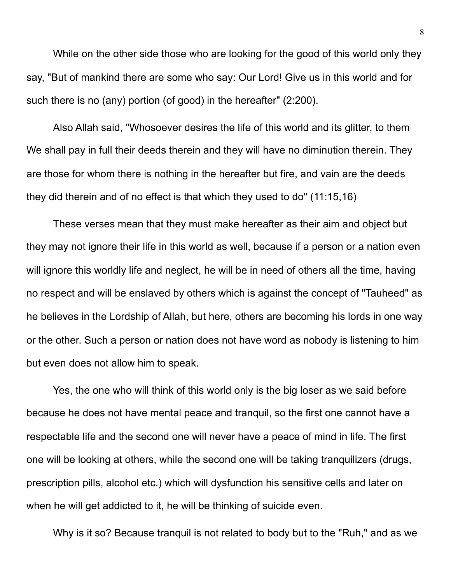While on the other side those who are looking for the good of this world only they say, "But of mankind there are some who say: Our Lord! Give us in this world and for such there is no (any) portion (of good) in the hereafter" (2:200).

 Also Allah said, "Whosoever desires the life of this world and its glitter, to them We shall pay in full their deeds therein and they will have no diminution therein. They are those for whom there is nothing in the hereafter but fire, and vain are the deeds they did therein and of no effect is that which they used to do" (11:15,16)

 These verses mean that they must make hereafter as their aim and object but they may not ignore their life in this world as well, because if a person or a nation even will ignore this worldly life and neglect, he will be in need of others all the time, having no respect and will be enslaved by others which is against the concept of "Tauheed" as he believes in the Lordship of Allah, but here, others are becoming his lords in one way or the other. Such a person or nation does not have word as nobody is listening to him but even does not allow him to speak.

 Yes, the one who will think of this world only is the big loser as we said before because he does not have mental peace and tranquil, so the first one cannot have a respectable life and the second one will never have a peace of mind in life. The first one will be looking at others, while the second one will be taking tranquilizers (drugs, prescription pills, alcohol etc.) which will dysfunction his sensitive cells and later on when he will get addicted to it, he will be thinking of suicide even.

Why is it so? Because tranquil is not related to body but to the "Ruh," and as we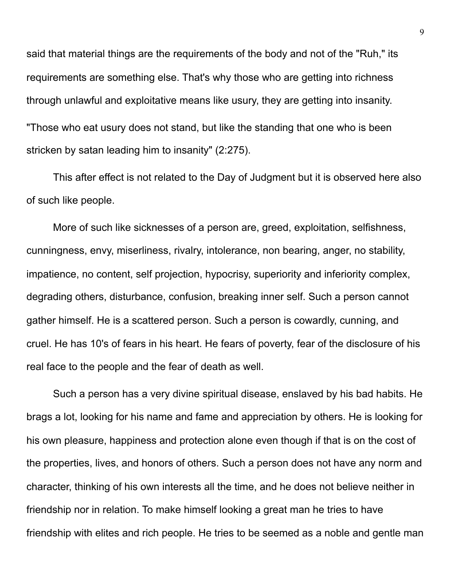said that material things are the requirements of the body and not of the "Ruh," its requirements are something else. That's why those who are getting into richness through unlawful and exploitative means like usury, they are getting into insanity. "Those who eat usury does not stand, but like the standing that one who is been stricken by satan leading him to insanity" (2:275).

 This after effect is not related to the Day of Judgment but it is observed here also of such like people.

 More of such like sicknesses of a person are, greed, exploitation, selfishness, cunningness, envy, miserliness, rivalry, intolerance, non bearing, anger, no stability, impatience, no content, self projection, hypocrisy, superiority and inferiority complex, degrading others, disturbance, confusion, breaking inner self. Such a person cannot gather himself. He is a scattered person. Such a person is cowardly, cunning, and cruel. He has 10's of fears in his heart. He fears of poverty, fear of the disclosure of his real face to the people and the fear of death as well.

 Such a person has a very divine spiritual disease, enslaved by his bad habits. He brags a lot, looking for his name and fame and appreciation by others. He is looking for his own pleasure, happiness and protection alone even though if that is on the cost of the properties, lives, and honors of others. Such a person does not have any norm and character, thinking of his own interests all the time, and he does not believe neither in friendship nor in relation. To make himself looking a great man he tries to have friendship with elites and rich people. He tries to be seemed as a noble and gentle man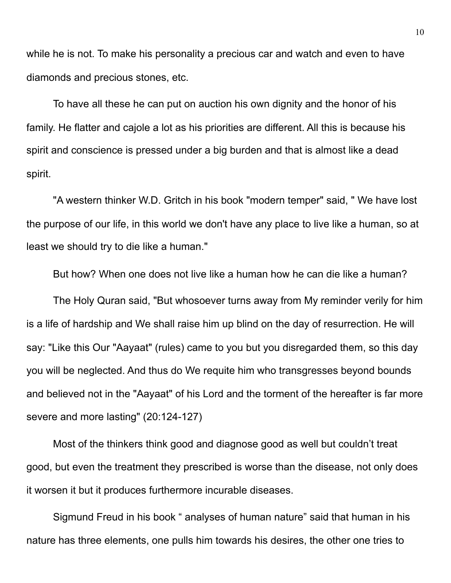while he is not. To make his personality a precious car and watch and even to have diamonds and precious stones, etc.

 To have all these he can put on auction his own dignity and the honor of his family. He flatter and cajole a lot as his priorities are different. All this is because his spirit and conscience is pressed under a big burden and that is almost like a dead spirit.

 "A western thinker W.D. Gritch in his book "modern temper" said, " We have lost the purpose of our life, in this world we don't have any place to live like a human, so at least we should try to die like a human."

But how? When one does not live like a human how he can die like a human?

 The Holy Quran said, "But whosoever turns away from My reminder verily for him is a life of hardship and We shall raise him up blind on the day of resurrection. He will say: "Like this Our "Aayaat" (rules) came to you but you disregarded them, so this day you will be neglected. And thus do We requite him who transgresses beyond bounds and believed not in the "Aayaat" of his Lord and the torment of the hereafter is far more severe and more lasting" (20:124-127)

Most of the thinkers think good and diagnose good as well but couldn't treat good, but even the treatment they prescribed is worse than the disease, not only does it worsen it but it produces furthermore incurable diseases.

 Sigmund Freud in his book " analyses of human nature" said that human in his nature has three elements, one pulls him towards his desires, the other one tries to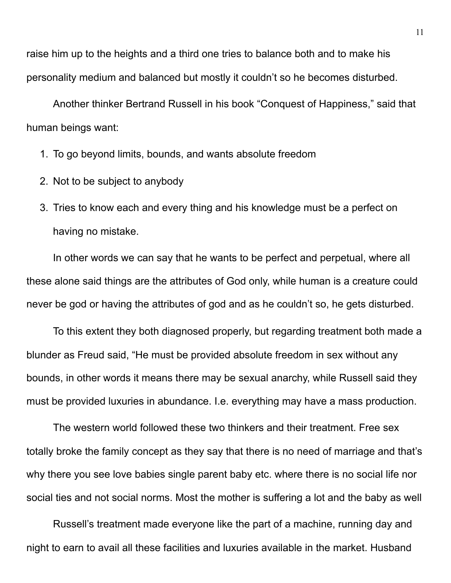raise him up to the heights and a third one tries to balance both and to make his personality medium and balanced but mostly it couldn't so he becomes disturbed.

 Another thinker Bertrand Russell in his book "Conquest of Happiness," said that human beings want:

- 1. To go beyond limits, bounds, and wants absolute freedom
- 2. Not to be subject to anybody
- 3. Tries to know each and every thing and his knowledge must be a perfect on having no mistake.

In other words we can say that he wants to be perfect and perpetual, where all these alone said things are the attributes of God only, while human is a creature could never be god or having the attributes of god and as he couldn't so, he gets disturbed.

 To this extent they both diagnosed properly, but regarding treatment both made a blunder as Freud said, "He must be provided absolute freedom in sex without any bounds, in other words it means there may be sexual anarchy, while Russell said they must be provided luxuries in abundance. I.e. everything may have a mass production.

 The western world followed these two thinkers and their treatment. Free sex totally broke the family concept as they say that there is no need of marriage and that's why there you see love babies single parent baby etc. where there is no social life nor social ties and not social norms. Most the mother is suffering a lot and the baby as well

Russell's treatment made everyone like the part of a machine, running day and night to earn to avail all these facilities and luxuries available in the market. Husband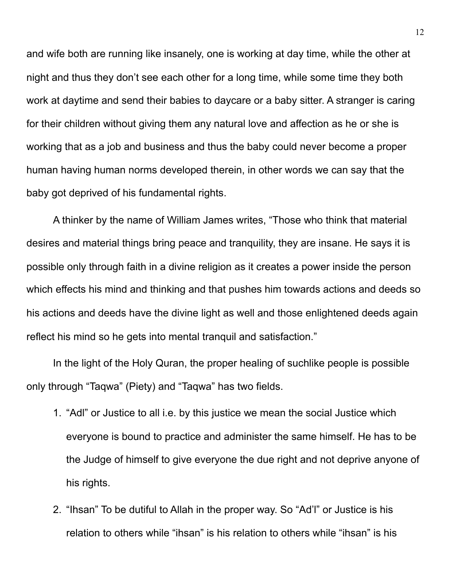and wife both are running like insanely, one is working at day time, while the other at night and thus they don't see each other for a long time, while some time they both work at daytime and send their babies to daycare or a baby sitter. A stranger is caring for their children without giving them any natural love and affection as he or she is working that as a job and business and thus the baby could never become a proper human having human norms developed therein, in other words we can say that the baby got deprived of his fundamental rights.

 A thinker by the name of William James writes, "Those who think that material desires and material things bring peace and tranquility, they are insane. He says it is possible only through faith in a divine religion as it creates a power inside the person which effects his mind and thinking and that pushes him towards actions and deeds so his actions and deeds have the divine light as well and those enlightened deeds again reflect his mind so he gets into mental tranquil and satisfaction."

 In the light of the Holy Quran, the proper healing of suchlike people is possible only through "Taqwa" (Piety) and "Taqwa" has two fields.

- 1. "Adl" or Justice to all i.e. by this justice we mean the social Justice which everyone is bound to practice and administer the same himself. He has to be the Judge of himself to give everyone the due right and not deprive anyone of his rights.
- 2. "Ihsan" To be dutiful to Allah in the proper way. So "Ad'l" or Justice is his relation to others while "ihsan" is his relation to others while "ihsan" is his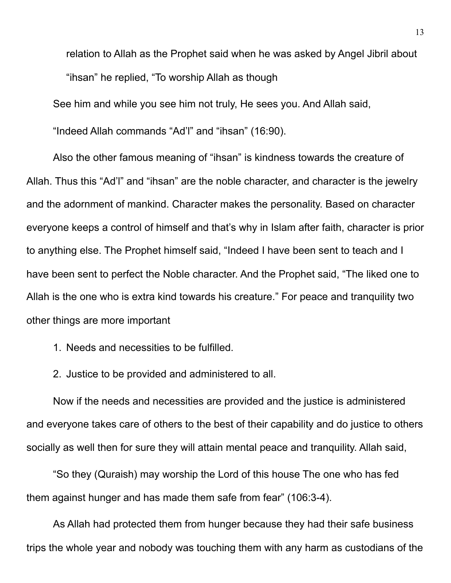relation to Allah as the Prophet said when he was asked by Angel Jibril about "ihsan" he replied, "To worship Allah as though

See him and while you see him not truly, He sees you. And Allah said,

"Indeed Allah commands "Ad'l" and "ihsan" (16:90).

Also the other famous meaning of "ihsan" is kindness towards the creature of Allah. Thus this "Ad'l" and "ihsan" are the noble character, and character is the jewelry and the adornment of mankind. Character makes the personality. Based on character everyone keeps a control of himself and that's why in Islam after faith, character is prior to anything else. The Prophet himself said, "Indeed I have been sent to teach and I have been sent to perfect the Noble character. And the Prophet said, "The liked one to Allah is the one who is extra kind towards his creature." For peace and tranquility two other things are more important

1. Needs and necessities to be fulfilled.

2. Justice to be provided and administered to all.

 Now if the needs and necessities are provided and the justice is administered and everyone takes care of others to the best of their capability and do justice to others socially as well then for sure they will attain mental peace and tranquility. Allah said,

"So they (Quraish) may worship the Lord of this house The one who has fed them against hunger and has made them safe from fear" (106:3-4).

 As Allah had protected them from hunger because they had their safe business trips the whole year and nobody was touching them with any harm as custodians of the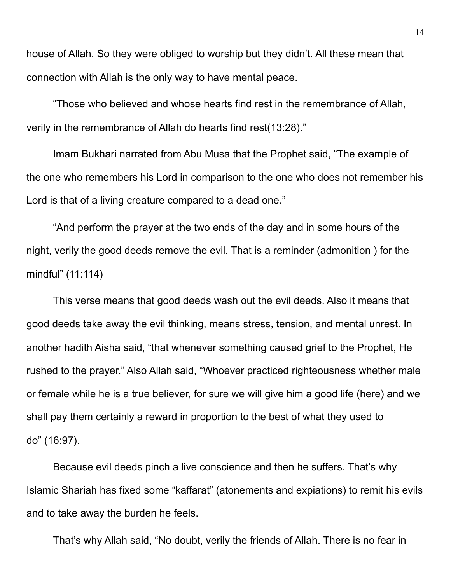house of Allah. So they were obliged to worship but they didn't. All these mean that connection with Allah is the only way to have mental peace.

"Those who believed and whose hearts find rest in the remembrance of Allah, verily in the remembrance of Allah do hearts find rest(13:28)."

 Imam Bukhari narrated from Abu Musa that the Prophet said, "The example of the one who remembers his Lord in comparison to the one who does not remember his Lord is that of a living creature compared to a dead one."

"And perform the prayer at the two ends of the day and in some hours of the night, verily the good deeds remove the evil. That is a reminder (admonition ) for the mindful" (11:114)

This verse means that good deeds wash out the evil deeds. Also it means that good deeds take away the evil thinking, means stress, tension, and mental unrest. In another hadith Aisha said, "that whenever something caused grief to the Prophet, He rushed to the prayer." Also Allah said, "Whoever practiced righteousness whether male or female while he is a true believer, for sure we will give him a good life (here) and we shall pay them certainly a reward in proportion to the best of what they used to do" (16:97).

 Because evil deeds pinch a live conscience and then he suffers. That's why Islamic Shariah has fixed some "kaffarat" (atonements and expiations) to remit his evils and to take away the burden he feels.

That's why Allah said, "No doubt, verily the friends of Allah. There is no fear in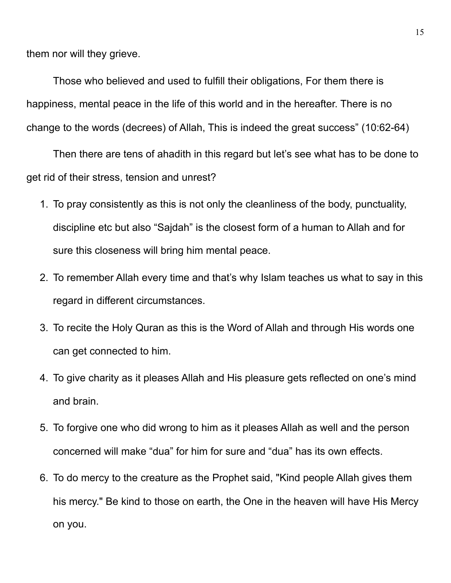them nor will they grieve.

 Those who believed and used to fulfill their obligations, For them there is happiness, mental peace in the life of this world and in the hereafter. There is no change to the words (decrees) of Allah, This is indeed the great success" (10:62-64)

 Then there are tens of ahadith in this regard but let's see what has to be done to get rid of their stress, tension and unrest?

- 1. To pray consistently as this is not only the cleanliness of the body, punctuality, discipline etc but also "Sajdah" is the closest form of a human to Allah and for sure this closeness will bring him mental peace.
- 2. To remember Allah every time and that's why Islam teaches us what to say in this regard in different circumstances.
- 3. To recite the Holy Quran as this is the Word of Allah and through His words one can get connected to him.
- 4. To give charity as it pleases Allah and His pleasure gets reflected on one's mind and brain.
- 5. To forgive one who did wrong to him as it pleases Allah as well and the person concerned will make "dua" for him for sure and "dua" has its own effects.
- 6. To do mercy to the creature as the Prophet said, "Kind people Allah gives them his mercy." Be kind to those on earth, the One in the heaven will have His Mercy on you.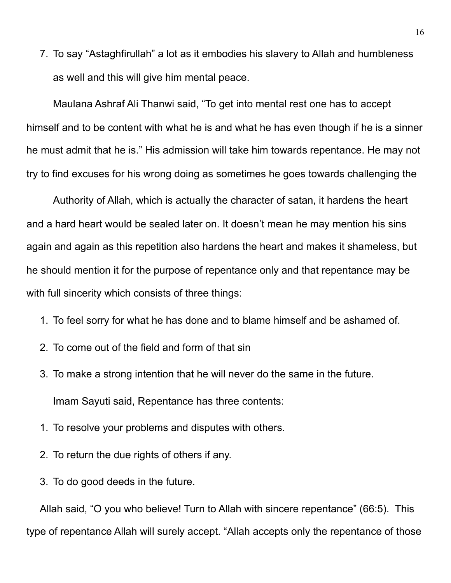7. To say "Astaghfirullah" a lot as it embodies his slavery to Allah and humbleness as well and this will give him mental peace.

 Maulana Ashraf Ali Thanwi said, "To get into mental rest one has to accept himself and to be content with what he is and what he has even though if he is a sinner he must admit that he is." His admission will take him towards repentance. He may not try to find excuses for his wrong doing as sometimes he goes towards challenging the

Authority of Allah, which is actually the character of satan, it hardens the heart and a hard heart would be sealed later on. It doesn't mean he may mention his sins again and again as this repetition also hardens the heart and makes it shameless, but he should mention it for the purpose of repentance only and that repentance may be with full sincerity which consists of three things:

- 1. To feel sorry for what he has done and to blame himself and be ashamed of.
- 2. To come out of the field and form of that sin
- 3. To make a strong intention that he will never do the same in the future. Imam Sayuti said, Repentance has three contents:
- 1. To resolve your problems and disputes with others.
- 2. To return the due rights of others if any.
- 3. To do good deeds in the future.

Allah said, "O you who believe! Turn to Allah with sincere repentance" (66:5). This type of repentance Allah will surely accept. "Allah accepts only the repentance of those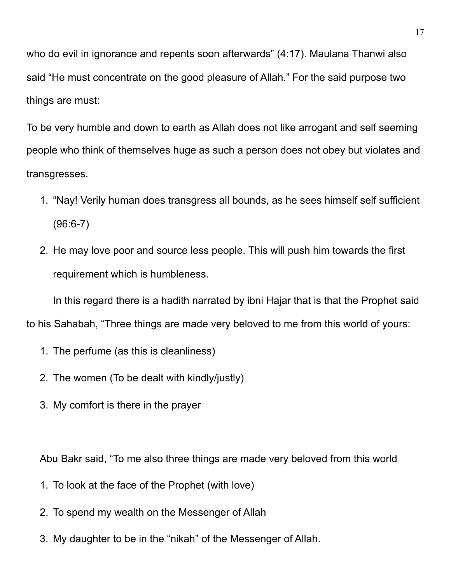who do evil in ignorance and repents soon afterwards" (4:17). Maulana Thanwi also said "He must concentrate on the good pleasure of Allah." For the said purpose two things are must:

To be very humble and down to earth as Allah does not like arrogant and self seeming people who think of themselves huge as such a person does not obey but violates and transgresses.

- 1. "Nay! Verily human does transgress all bounds, as he sees himself self sufficient (96:6-7)
- 2. He may love poor and source less people. This will push him towards the first requirement which is humbleness.

 In this regard there is a hadith narrated by ibni Hajar that is that the Prophet said to his Sahabah, "Three things are made very beloved to me from this world of yours:

- 1. The perfume (as this is cleanliness)
- 2. The women (To be dealt with kindly/justly)
- 3. My comfort is there in the prayer

Abu Bakr said, "To me also three things are made very beloved from this world

- 1. To look at the face of the Prophet (with love)
- 2. To spend my wealth on the Messenger of Allah
- 3. My daughter to be in the "nikah" of the Messenger of Allah.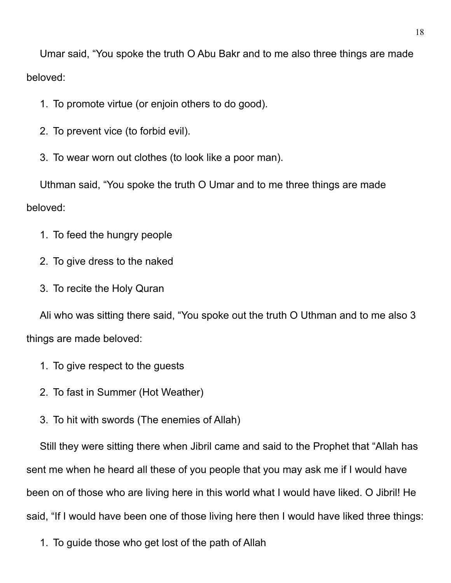Umar said, "You spoke the truth O Abu Bakr and to me also three things are made beloved:

1. To promote virtue (or enjoin others to do good).

2. To prevent vice (to forbid evil).

3. To wear worn out clothes (to look like a poor man).

Uthman said, "You spoke the truth O Umar and to me three things are made beloved:

- 1. To feed the hungry people
- 2. To give dress to the naked
- 3. To recite the Holy Quran

Ali who was sitting there said, "You spoke out the truth O Uthman and to me also 3 things are made beloved:

- 1. To give respect to the guests
- 2. To fast in Summer (Hot Weather)
- 3. To hit with swords (The enemies of Allah)

Still they were sitting there when Jibril came and said to the Prophet that "Allah has sent me when he heard all these of you people that you may ask me if I would have been on of those who are living here in this world what I would have liked. O Jibril! He said, "If I would have been one of those living here then I would have liked three things:

1. To guide those who get lost of the path of Allah